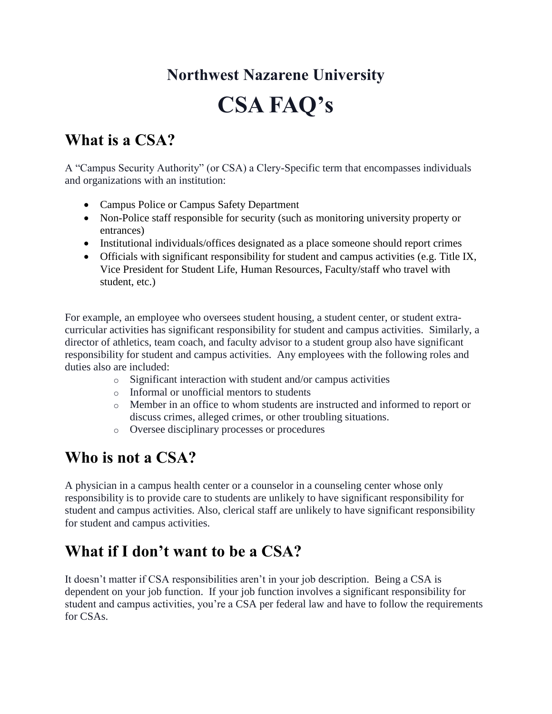# **Northwest Nazarene University**

## **CSA FAQ's**

#### **What is a CSA?**

A "Campus Security Authority" (or CSA) a Clery-Specific term that encompasses individuals and organizations with an institution:

- Campus Police or Campus Safety Department
- Non-Police staff responsible for security (such as monitoring university property or entrances)
- Institutional individuals/offices designated as a place someone should report crimes
- Officials with significant responsibility for student and campus activities (e.g. Title IX, Vice President for Student Life, Human Resources, Faculty/staff who travel with student, etc.)

For example, an employee who oversees student housing, a student center, or student extracurricular activities has significant responsibility for student and campus activities. Similarly, a director of athletics, team coach, and faculty advisor to a student group also have significant responsibility for student and campus activities. Any employees with the following roles and duties also are included:

- o Significant interaction with student and/or campus activities
- o Informal or unofficial mentors to students
- o Member in an office to whom students are instructed and informed to report or discuss crimes, alleged crimes, or other troubling situations.
- o Oversee disciplinary processes or procedures

## **Who is not a CSA?**

A physician in a campus health center or a counselor in a counseling center whose only responsibility is to provide care to students are unlikely to have significant responsibility for student and campus activities. Also, clerical staff are unlikely to have significant responsibility for student and campus activities.

## **What if I don't want to be a CSA?**

It doesn't matter if CSA responsibilities aren't in your job description. Being a CSA is dependent on your job function. If your job function involves a significant responsibility for student and campus activities, you're a CSA per federal law and have to follow the requirements for CSAs.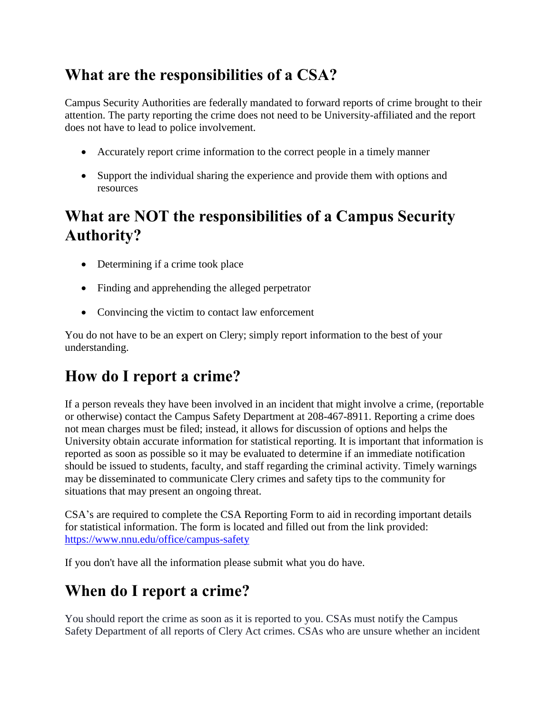## **What are the responsibilities of a CSA?**

Campus Security Authorities are federally mandated to forward reports of crime brought to their attention. The party reporting the crime does not need to be University-affiliated and the report does not have to lead to police involvement.

- Accurately report crime information to the correct people in a timely manner
- Support the individual sharing the experience and provide them with options and resources

## **What are NOT the responsibilities of a Campus Security Authority?**

- Determining if a crime took place
- Finding and apprehending the alleged perpetrator
- Convincing the victim to contact law enforcement

You do not have to be an expert on Clery; simply report information to the best of your understanding.

#### **How do I report a crime?**

If a person reveals they have been involved in an incident that might involve a crime, (reportable or otherwise) contact the Campus Safety Department at 208-467-8911. Reporting a crime does not mean charges must be filed; instead, it allows for discussion of options and helps the University obtain accurate information for statistical reporting. It is important that information is reported as soon as possible so it may be evaluated to determine if an immediate notification should be issued to students, faculty, and staff regarding the criminal activity. Timely warnings may be disseminated to communicate Clery crimes and safety tips to the community for situations that may present an ongoing threat.

CSA's are required to complete the CSA Reporting Form to aid in recording important details for statistical information. The form is located and filled out from the link provided: <https://www.nnu.edu/office/campus-safety>

If you don't have all the information please submit what you do have.

## **When do I report a crime?**

You should report the crime as soon as it is reported to you. CSAs must notify the Campus Safety Department of all reports of Clery Act crimes. CSAs who are unsure whether an incident